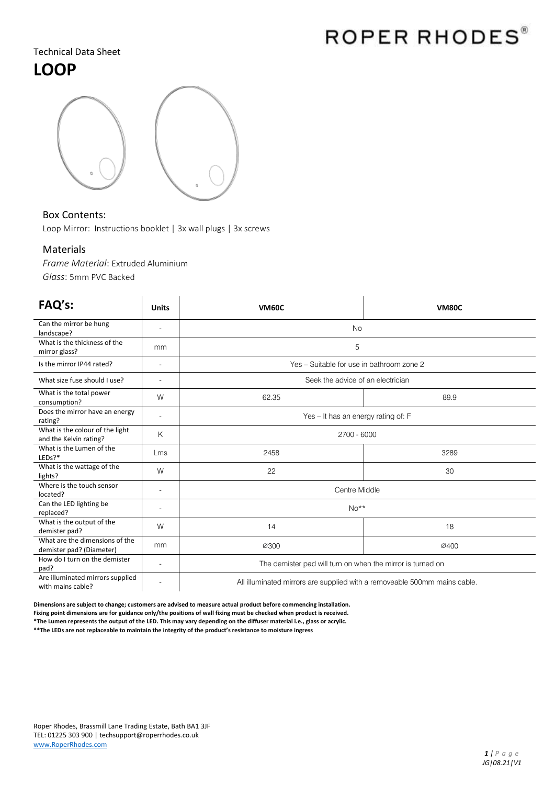# ROPER RHODES®

### Technical Data Sheet

## **LOOP**



### Box Contents:

Loop Mirror: Instructions booklet | 3x wall plugs | 3x screws

#### Materials

*Frame Material*: Extruded Aluminium *Glass*: 5mm PVC Backed

| FAQ's:                                                     | <b>Units</b>             | <b>VM60C</b>                                                              | <b>VM80C</b> |
|------------------------------------------------------------|--------------------------|---------------------------------------------------------------------------|--------------|
| Can the mirror be hung<br>landscape?                       | $\overline{\phantom{a}}$ | <b>No</b>                                                                 |              |
| What is the thickness of the<br>mirror glass?              | mm                       | 5                                                                         |              |
| Is the mirror IP44 rated?                                  | $\overline{\phantom{a}}$ | Yes - Suitable for use in bathroom zone 2                                 |              |
| What size fuse should I use?                               | $\overline{\phantom{a}}$ | Seek the advice of an electrician                                         |              |
| What is the total power<br>consumption?                    | W                        | 62.35                                                                     | 89.9         |
| Does the mirror have an energy<br>rating?                  | $\overline{\phantom{a}}$ | Yes - It has an energy rating of: F                                       |              |
| What is the colour of the light<br>and the Kelvin rating?  | Κ                        | 2700 - 6000                                                               |              |
| What is the Lumen of the<br>$LEDs$ ?*                      | Lms                      | 2458                                                                      | 3289         |
| What is the wattage of the<br>lights?                      | W                        | 22                                                                        | 30           |
| Where is the touch sensor<br>located?                      | $\overline{\phantom{a}}$ | Centre Middle                                                             |              |
| Can the LED lighting be<br>replaced?                       |                          | $No**$                                                                    |              |
| What is the output of the<br>demister pad?                 | W                        | 14                                                                        | 18           |
| What are the dimensions of the<br>demister pad? (Diameter) | mm                       | 0300                                                                      | Ø400         |
| How do I turn on the demister<br>pad?                      | $\overline{\phantom{a}}$ | The demister pad will turn on when the mirror is turned on                |              |
| Are illuminated mirrors supplied<br>with mains cable?      |                          | All illuminated mirrors are supplied with a removeable 500mm mains cable. |              |

**Dimensions are subject to change; customers are advised to measure actual product before commencing installation. Fixing point dimensions are for guidance only/the positions of wall fixing must be checked when product is received. \*The Lumen represents the output of the LED. This may vary depending on the diffuser material i.e., glass or acrylic.**

**\*\*The LEDs are not replaceable to maintain the integrity of the product's resistance to moisture ingress**